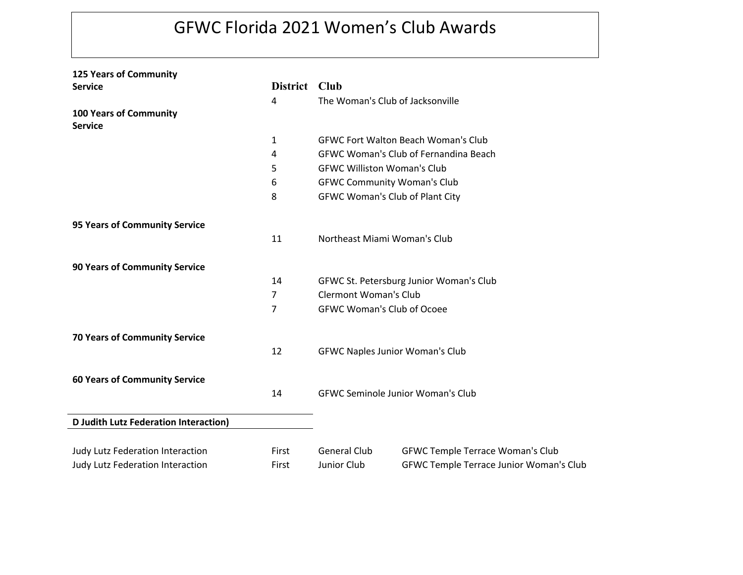## GFWC Florida 2021 Women's Club Awards

| <b>125 Years of Community</b>                |                 |                                          |                                              |
|----------------------------------------------|-----------------|------------------------------------------|----------------------------------------------|
| <b>Service</b>                               | <b>District</b> | <b>Club</b>                              |                                              |
|                                              | 4               | The Woman's Club of Jacksonville         |                                              |
| <b>100 Years of Community</b>                |                 |                                          |                                              |
| <b>Service</b>                               |                 |                                          |                                              |
|                                              | $\mathbf 1$     |                                          | <b>GFWC Fort Walton Beach Woman's Club</b>   |
|                                              | 4               |                                          | <b>GFWC Woman's Club of Fernandina Beach</b> |
|                                              | 5               | <b>GFWC Williston Woman's Club</b>       |                                              |
|                                              | 6               | <b>GFWC Community Woman's Club</b>       |                                              |
|                                              | 8               | <b>GFWC Woman's Club of Plant City</b>   |                                              |
| 95 Years of Community Service                |                 |                                          |                                              |
|                                              | 11              | Northeast Miami Woman's Club             |                                              |
| <b>90 Years of Community Service</b>         |                 |                                          |                                              |
|                                              | 14              | GFWC St. Petersburg Junior Woman's Club  |                                              |
|                                              | $\overline{7}$  | <b>Clermont Woman's Club</b>             |                                              |
|                                              | 7               | <b>GFWC Woman's Club of Ocoee</b>        |                                              |
| <b>70 Years of Community Service</b>         |                 |                                          |                                              |
|                                              | 12              | <b>GFWC Naples Junior Woman's Club</b>   |                                              |
| <b>60 Years of Community Service</b>         |                 |                                          |                                              |
|                                              | 14              | <b>GFWC Seminole Junior Woman's Club</b> |                                              |
| <b>D Judith Lutz Federation Interaction)</b> |                 |                                          |                                              |
| Judy Lutz Federation Interaction             | First           | <b>General Club</b>                      | <b>GFWC Temple Terrace Woman's Club</b>      |
| Judy Lutz Federation Interaction             | First           | Junior Club                              | GFWC Temple Terrace Junior Woman's Club      |
|                                              |                 |                                          |                                              |